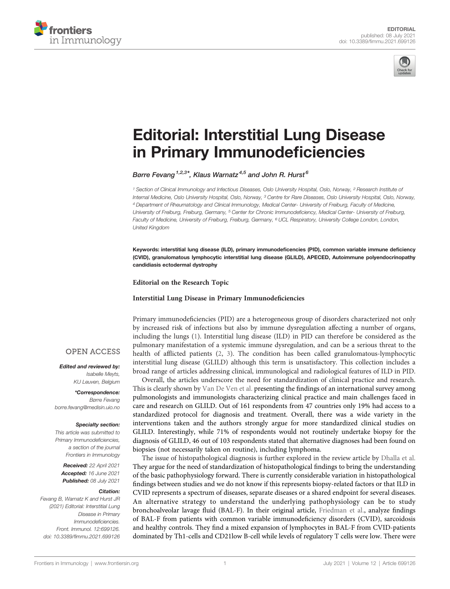



# [Editorial: Interstitial Lung Disease](https://www.frontiersin.org/articles/10.3389/fimmu.2021.699126/full) [in Primary Immunode](https://www.frontiersin.org/articles/10.3389/fimmu.2021.699126/full)ficiencies

Børre Fevang<sup>1,2,3\*</sup>, Klaus Warnatz<sup>4,5</sup> and John R. Hurst<sup>6</sup>

<sup>1</sup> Section of Clinical Immunology and Infectious Diseases, Oslo University Hospital, Oslo, Norway, <sup>2</sup> Research Institute of Internal Medicine, Oslo University Hospital, Oslo, Norway, <sup>3</sup> Centre for Rare Diseases, Oslo University Hospital, Oslo, Norway, <sup>4</sup> Department of Rheumatology and Clinical Immunology, Medical Center- University of Freiburg, Faculty of Medicine, University of Freiburg, Freiburg, Germany, <sup>5</sup> Center for Chronic Immunodeficiency, Medical Center- University of Freiburg, Faculty of Medicine, University of Freiburg, Freiburg, Germany, <sup>6</sup> UCL Respiratory, University College London, London, United Kingdom

Keywords: interstitial lung disease (ILD), primary immunodeficencies (PID), common variable immune deficiency (CVID), granulomatous lymphocytic interstitial lung disease (GLILD), APECED, Autoimmune polyendocrinopathy candidiasis ectodermal dystrophy

Editorial on the Research Topic

#### [Interstitial Lung Disease in Primary Immunode](https://www.frontiersin.org/research-topics/13119/interstitial-lung-disease-in-primary-immunodeficiencies)ficiencies

Primary immunodeficiencies (PID) are a heterogeneous group of disorders characterized not only by increased risk of infections but also by immune dysregulation affecting a number of organs, including the lungs ([1](#page-2-0)). Interstitial lung disease (ILD) in PID can therefore be considered as the pulmonary manifestation of a systemic immune dysregulation, and can be a serious threat to the health of afflicted patients ([2](#page-2-0), [3\)](#page-2-0). The condition has been called granulomatous-lymphocytic interstitial lung disease (GLILD) although this term is unsatisfactory. This collection includes a broad range of articles addressing clinical, immunological and radiological features of ILD in PID.

Overall, the articles underscore the need for standardization of clinical practice and research. This is clearly shown by [Van De Ven et al.](https://doi.org/10.3389/fimmu.2020.606333) presenting the findings of an international survey among pulmonologists and immunologists characterizing clinical practice and main challenges faced in care and research on GLILD. Out of 161 respondents from 47 countries only 19% had access to a standardized protocol for diagnosis and treatment. Overall, there was a wide variety in the interventions taken and the authors strongly argue for more standardized clinical studies on GLILD. Interestingly, while 71% of respondents would not routinely undertake biopsy for the diagnosis of GLILD, 46 out of 103 respondents stated that alternative diagnoses had been found on biopsies (not necessarily taken on routine), including lymphoma.

The issue of histopathological diagnosis is further explored in the review article by [Dhalla et al.](https://doi.org/10.3389/fimmu.2020.605187) They argue for the need of standardization of histopathological findings to bring the understanding of the basic pathophysiology forward. There is currently considerable variation in histopathological findings between studies and we do not know if this represents biopsy-related factors or that ILD in CVID represents a spectrum of diseases, separate diseases or a shared endpoint for several diseases. An alternative strategy to understand the underlying pathophysiology can be to study bronchoalveolar lavage fluid (BAL-F). In their original article, [Friedman et al.,](https://doi.org/10.3389/fimmu.2020.616832) analyze findings of BAL-F from patients with common variable immunodeficiency disorders (CVID), sarcoidosis and healthy controls. They find a mixed expansion of lymphocytes in BAL-F from CVID-patients dominated by Th1-cells and CD21low B-cell while levels of regulatory T cells were low. There were

## **OPEN ACCESS**

Edited and reviewed by: Isabelle Meyts, KU Leuven, Belgium

\*Correspondence: Børre Fevang [borre.fevang@medisin.uio.no](mailto:borre.fevang@medisin.uio.no)

#### Specialty section:

This article was submitted to Primary Immunodeficiencies, a section of the journal Frontiers in Immunology

Received: 22 April 2021 Accepted: 16 June 2021 Published: 08 July 2021

#### Citation:

Fevang B, Warnatz K and Hurst JR (2021) Editorial: Interstitial Lung Disease in Primary Immunodeficiencies. Front. Immunol. 12:699126. [doi: 10.3389/fimmu.2021.699126](https://doi.org/10.3389/fimmu.2021.699126)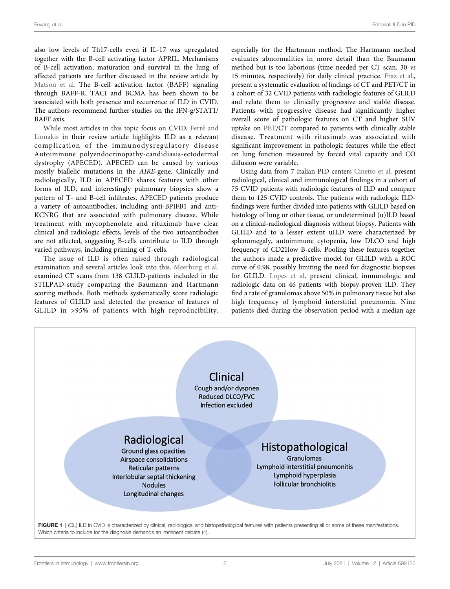<span id="page-1-0"></span>also low levels of Th17-cells even if IL-17 was upregulated together with the B-cell activating factor APRIL. Mechanisms of B-cell activation, maturation and survival in the lung of affected patients are further discussed in the review article by [Matson et al.](https://doi.org/10.3389/fimmu.2020.622114) The B-cell activation factor (BAFF) signaling through BAFF-R, TACI and BCMA has been shown to be associated with both presence and recurrence of ILD in CVID. The authors recommend further studies on the IFN-g/STAT1/ BAFF axis.

While most articles in this topic focus on CVID, Ferré and [Lionakis](https://doi.org/10.3389/fimmu.2020.609253) in their review article highlights ILD as a relevant complication of the immunodysregulatory disease Autoimmune polyendocrinopathy-candidiasis-ectodermal dystrophy (APECED). APECED can be caused by various mostly biallelic mutations in the AIRE-gene. Clinically and radiologically, ILD in APECED shares features with other forms of ILD, and interestingly pulmonary biopsies show a pattern of T- and B-cell infiltrates. APECED patients produce a variety of autoantibodies, including anti-BPIFB1 and anti-KCNRG that are associated with pulmonary disease. While treatment with mycophenolate and rituximab have clear clinical and radiologic effects, levels of the two autoantibodies are not affected, suggesting B-cells contribute to ILD through varied pathways, including priming of T-cells.

The issue of ILD is often raised through radiological examination and several articles look into this. [Meerburg et al.](https://doi.org/10.3389/fimmu.2020.589148) examined CT scans from 138 GLILD-patients included in the STILPAD-study comparing the Baumann and Hartmann scoring methods. Both methods systematically score radiologic features of GLILD and detected the presence of features of GLILD in >95% of patients with high reproducibility,

especially for the Hartmann method. The Hartmann method evaluates abnormalities in more detail than the Baumann method but is too laborious (time needed per CT scan, 30 vs 15 minutes, respectively) for daily clinical practice. [Fraz et al.,](https://doi.org/10.3389/fimmu.2020.617985) present a systematic evaluation of findings of CT and PET/CT in a cohort of 32 CVID patients with radiologic features of GLILD and relate them to clinically progressive and stable disease. Patients with progressive disease had significantly higher overall score of pathologic features on CT and higher SUV uptake on PET/CT compared to patients with clinically stable disease. Treatment with rituximab was associated with significant improvement in pathologic features while the effect on lung function measured by forced vital capacity and CO diffusion were variable.

Using data from 7 Italian PID centers [Cinetto et al.](https://doi.org/10.3389/fimmu.2021.627423) present radiological, clinical and immunological findings in a cohort of 75 CVID patients with radiologic features of ILD and compare them to 125 CVID controls. The patients with radiologic ILDfindings were further divided into patients with GLILD based on histology of lung or other tissue, or undetermined (u)ILD based on a clinical-radiological diagnosis without biopsy. Patients with GLILD and to a lesser extent uILD were characterized by splenomegaly, autoimmune cytopenia, low DLCO and high frequency of CD21low B-cells. Pooling these features together the authors made a predictive model for GLILD with a ROC curve of 0.98, possibly limiting the need for diagnostic biopsies for GLILD. [Lopes et al](https://doi.org/10.3389/fimmu.2021.605945). present clinical, immunologic and radiologic data on 46 patients with biopsy-proven ILD. They find a rate of granulomas above 50% in pulmonary tissue but also high frequency of lymphoid interstitial pneumonia. Nine patients died during the observation period with a median age